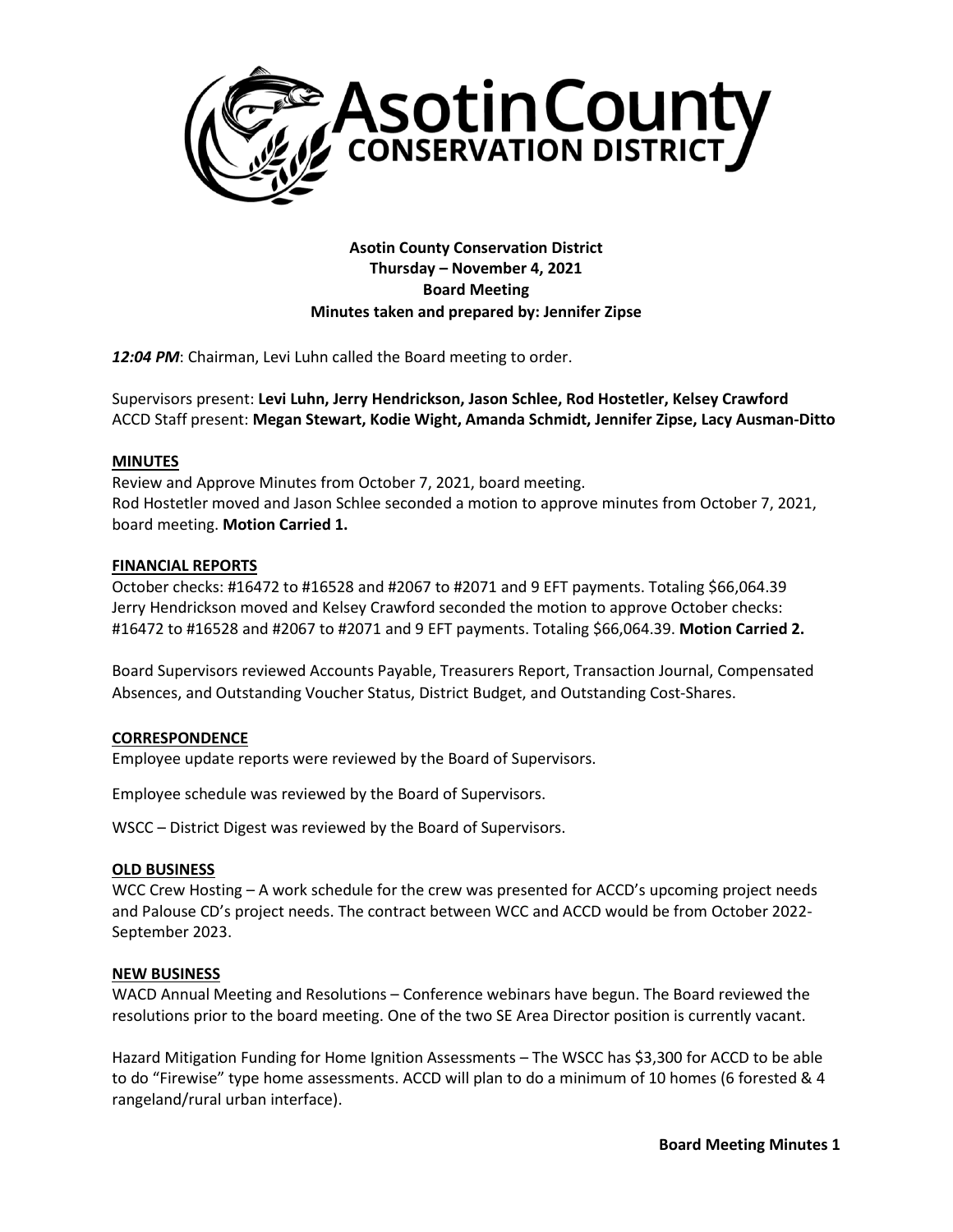

**Asotin County Conservation District Thursday – November 4, 2021 Board Meeting Minutes taken and prepared by: Jennifer Zipse**

*12:04 PM*: Chairman, Levi Luhn called the Board meeting to order.

Supervisors present: **Levi Luhn, Jerry Hendrickson, Jason Schlee, Rod Hostetler, Kelsey Crawford** ACCD Staff present: **Megan Stewart, Kodie Wight, Amanda Schmidt, Jennifer Zipse, Lacy Ausman-Ditto**

### **MINUTES**

Review and Approve Minutes from October 7, 2021, board meeting. Rod Hostetler moved and Jason Schlee seconded a motion to approve minutes from October 7, 2021, board meeting. **Motion Carried 1.**

#### **FINANCIAL REPORTS**

October checks: #16472 to #16528 and #2067 to #2071 and 9 EFT payments. Totaling \$66,064.39 Jerry Hendrickson moved and Kelsey Crawford seconded the motion to approve October checks: #16472 to #16528 and #2067 to #2071 and 9 EFT payments. Totaling \$66,064.39. **Motion Carried 2.**

Board Supervisors reviewed Accounts Payable, Treasurers Report, Transaction Journal, Compensated Absences, and Outstanding Voucher Status, District Budget, and Outstanding Cost-Shares.

# **CORRESPONDENCE**

Employee update reports were reviewed by the Board of Supervisors.

Employee schedule was reviewed by the Board of Supervisors.

WSCC – District Digest was reviewed by the Board of Supervisors.

#### **OLD BUSINESS**

WCC Crew Hosting – A work schedule for the crew was presented for ACCD's upcoming project needs and Palouse CD's project needs. The contract between WCC and ACCD would be from October 2022- September 2023.

#### **NEW BUSINESS**

WACD Annual Meeting and Resolutions – Conference webinars have begun. The Board reviewed the resolutions prior to the board meeting. One of the two SE Area Director position is currently vacant.

Hazard Mitigation Funding for Home Ignition Assessments – The WSCC has \$3,300 for ACCD to be able to do "Firewise" type home assessments. ACCD will plan to do a minimum of 10 homes (6 forested & 4 rangeland/rural urban interface).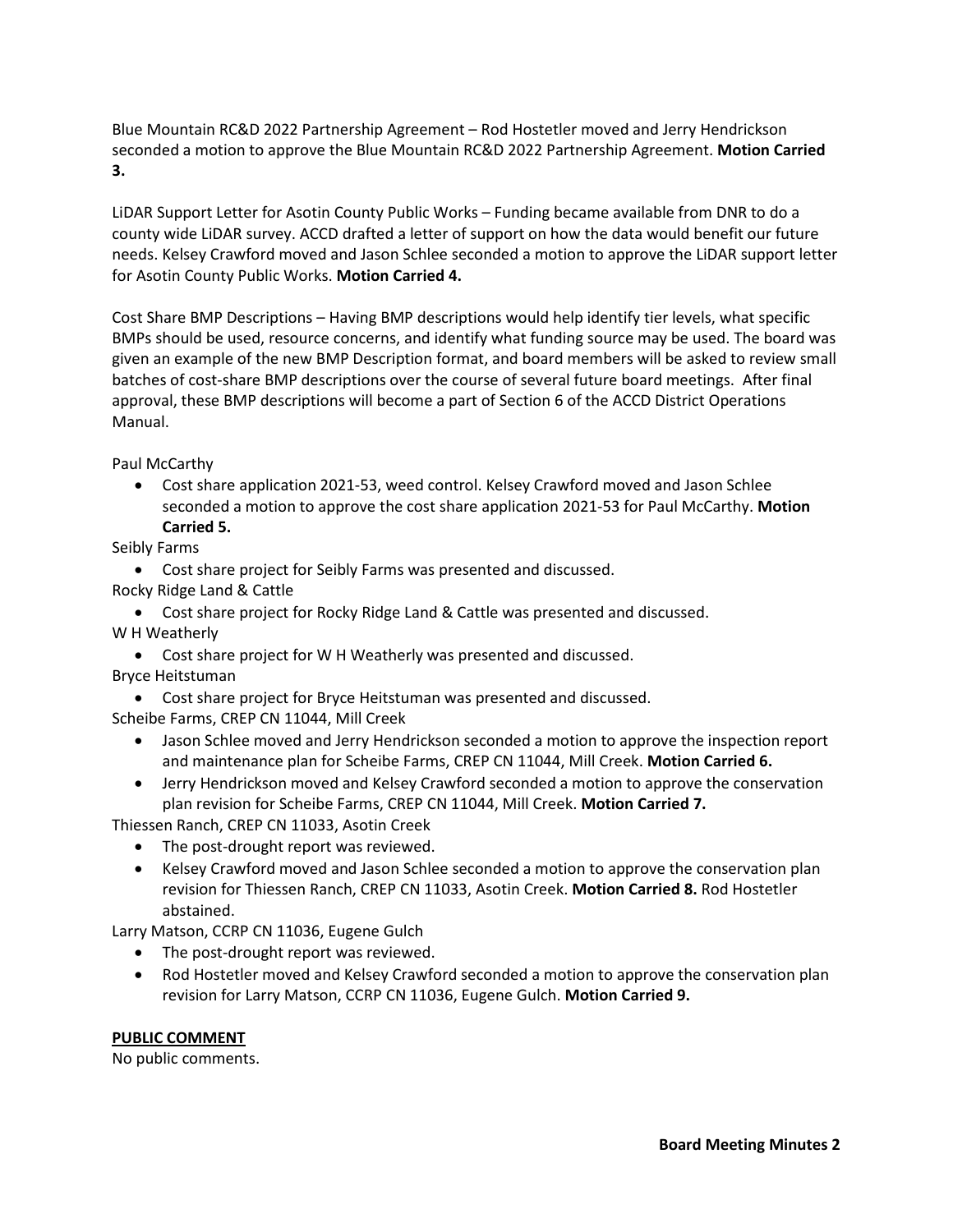Blue Mountain RC&D 2022 Partnership Agreement – Rod Hostetler moved and Jerry Hendrickson seconded a motion to approve the Blue Mountain RC&D 2022 Partnership Agreement. **Motion Carried 3.**

LiDAR Support Letter for Asotin County Public Works – Funding became available from DNR to do a county wide LiDAR survey. ACCD drafted a letter of support on how the data would benefit our future needs. Kelsey Crawford moved and Jason Schlee seconded a motion to approve the LiDAR support letter for Asotin County Public Works. **Motion Carried 4.**

Cost Share BMP Descriptions – Having BMP descriptions would help identify tier levels, what specific BMPs should be used, resource concerns, and identify what funding source may be used. The board was given an example of the new BMP Description format, and board members will be asked to review small batches of cost-share BMP descriptions over the course of several future board meetings. After final approval, these BMP descriptions will become a part of Section 6 of the ACCD District Operations Manual.

Paul McCarthy

• Cost share application 2021-53, weed control. Kelsey Crawford moved and Jason Schlee seconded a motion to approve the cost share application 2021-53 for Paul McCarthy. **Motion Carried 5.**

Seibly Farms

- Cost share project for Seibly Farms was presented and discussed.
- Rocky Ridge Land & Cattle
- Cost share project for Rocky Ridge Land & Cattle was presented and discussed. W H Weatherly
- Cost share project for W H Weatherly was presented and discussed. Bryce Heitstuman
- Cost share project for Bryce Heitstuman was presented and discussed.
- Scheibe Farms, CREP CN 11044, Mill Creek
	- Jason Schlee moved and Jerry Hendrickson seconded a motion to approve the inspection report and maintenance plan for Scheibe Farms, CREP CN 11044, Mill Creek. **Motion Carried 6.**
	- Jerry Hendrickson moved and Kelsey Crawford seconded a motion to approve the conservation plan revision for Scheibe Farms, CREP CN 11044, Mill Creek. **Motion Carried 7.**

Thiessen Ranch, CREP CN 11033, Asotin Creek

- The post-drought report was reviewed.
- Kelsey Crawford moved and Jason Schlee seconded a motion to approve the conservation plan revision for Thiessen Ranch, CREP CN 11033, Asotin Creek. **Motion Carried 8.** Rod Hostetler abstained.

Larry Matson, CCRP CN 11036, Eugene Gulch

- The post-drought report was reviewed.
- Rod Hostetler moved and Kelsey Crawford seconded a motion to approve the conservation plan revision for Larry Matson, CCRP CN 11036, Eugene Gulch. **Motion Carried 9.**

# **PUBLIC COMMENT**

No public comments.